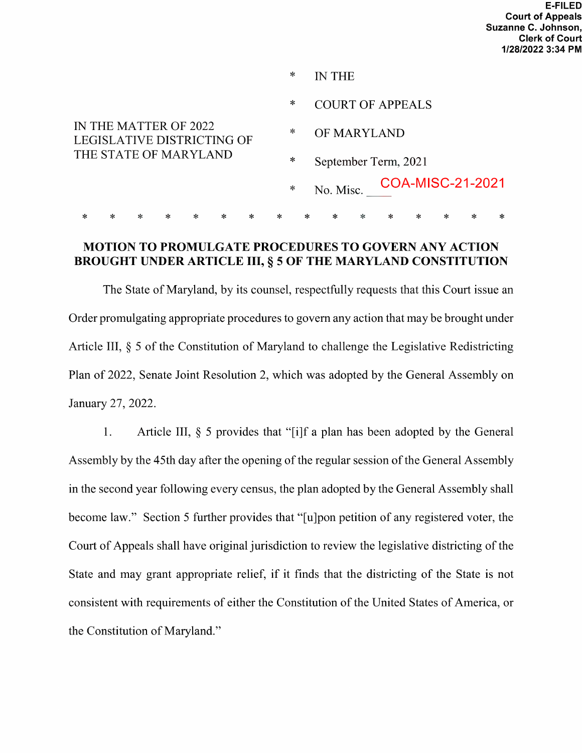|                                                     |   |   |   |   |   |   | ∗           |   |                      | <b>IN THE</b> |   |                            |  |  |   |   |
|-----------------------------------------------------|---|---|---|---|---|---|-------------|---|----------------------|---------------|---|----------------------------|--|--|---|---|
|                                                     |   |   |   |   |   |   | $\ast$      |   |                      |               |   | <b>COURT OF APPEALS</b>    |  |  |   |   |
| IN THE MATTER OF 2022<br>LEGISLATIVE DISTRICTING OF |   |   |   |   | ∗ |   | OF MARYLAND |   |                      |               |   |                            |  |  |   |   |
| THE STATE OF MARYLAND                               |   |   |   |   |   |   | $\ast$      |   | September Term, 2021 |               |   |                            |  |  |   |   |
|                                                     |   |   |   |   |   |   | $\ast$      |   |                      |               |   | No. Misc. COA-MISC-21-2021 |  |  |   |   |
| ∗                                                   | ∗ | ∗ | ∗ | ∗ |   | ∗ | ∗           | ∗ |                      | ∗             | ∗ | $\ast$                     |  |  | ∗ | ∗ |

## MOTION TO PROMULGATE PROCEDURES TO GOVERN ANY ACTION BROUGHT UNDER ARTICLE III, § 5 OF THE MARYLAND CONSTITUTION

The State of Maryland, by its counsel, respectfully requests that this Court issue an Order promulgating appropriate procedures to govern any action that may be brought under Article III,  $\S$  5 of the Constitution of Maryland to challenge the Legislative Redistricting Plan of 2022, Senate Joint Resolution 2, which was adopted by the General Assembly on January 27, 2022.

1. Article III, § 5 provides that "[i]f a plan has been adopted by the General Assembly by the 45th day after the opening of the regular session of the General Assembly in the second year following every census, the plan adopted by the General Assembly shall become law." Section 5 further provides that "[u]pon petition of any registered voter, the Court of Appeals shall have original jurisdiction to review the legislative districting of the State and may grant appropriate relief, if it finds that the districting of the State is not consistent with requirements of either the Constitution of the United States of America, or the Constitution of Maryland."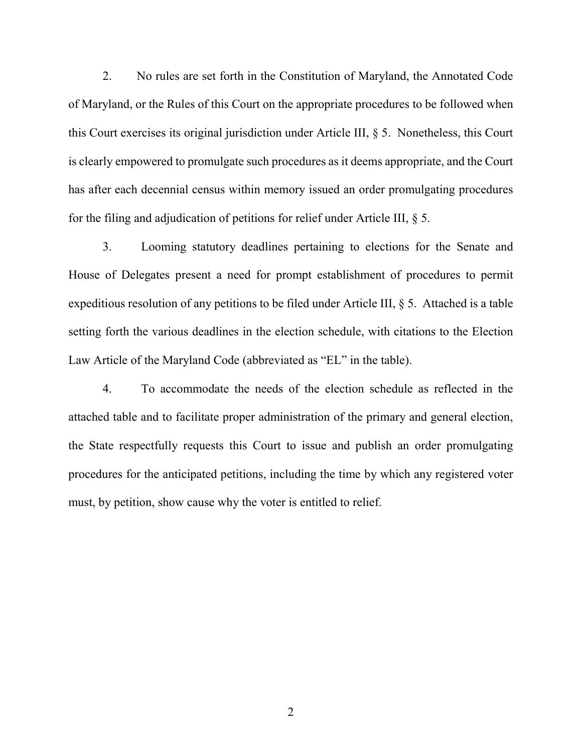2. No rules are set forth in the Constitution of Maryland, the Annotated Code of Maryland, or the Rules of this Court on the appropriate procedures to be followed when this Court exercises its original jurisdiction under Article III, § 5. Nonetheless, this Court is clearly empowered to promulgate such procedures as it deems appropriate, and the Court has after each decennial census within memory issued an order promulgating procedures for the filing and adjudication of petitions for relief under Article III, § 5.

3. Looming statutory deadlines pertaining to elections for the Senate and House of Delegates present a need for prompt establishment of procedures to permit expeditious resolution of any petitions to be filed under Article III, § 5. Attached is a table setting forth the various deadlines in the election schedule, with citations to the Election Law Article of the Maryland Code (abbreviated as "EL" in the table).

4. To accommodate the needs of the election schedule as reflected in the attached table and to facilitate proper administration of the primary and general election, the State respectfully requests this Court to issue and publish an order promulgating procedures for the anticipated petitions, including the time by which any registered voter must, by petition, show cause why the voter is entitled to relief.

2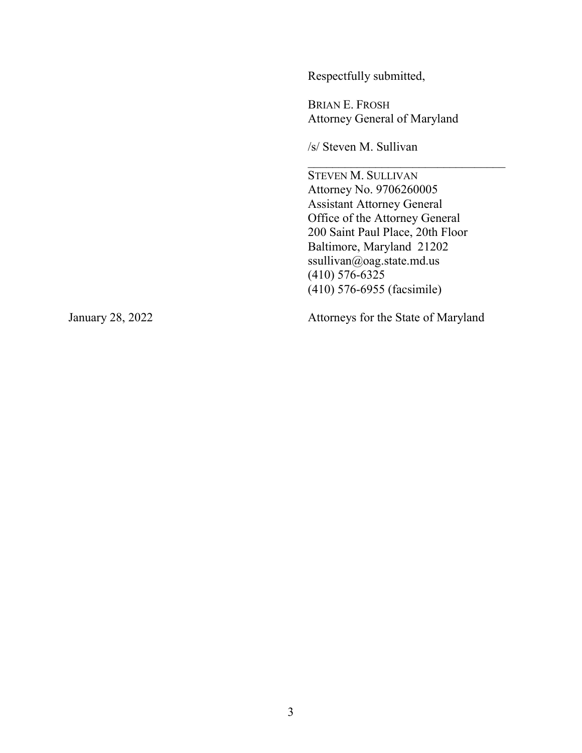Respectfully submitted,

BRIAN E. FROSH Attorney General of Maryland

/s/ Steven M. Sullivan

STEVEN M. SULLIVAN Attorney No. 9706260005 Assistant Attorney General Office of the Attorney General 200 Saint Paul Place, 20th Floor Baltimore, Maryland 21202 ssullivan@oag.state.md.us (410) 576-6325 (410) 576-6955 (facsimile)

 $\mathcal{L}_\text{max}$  , where  $\mathcal{L}_\text{max}$  is the set of the set of the set of the set of the set of the set of the set of the set of the set of the set of the set of the set of the set of the set of the set of the set of the se

January 28, 2022 Attorneys for the State of Maryland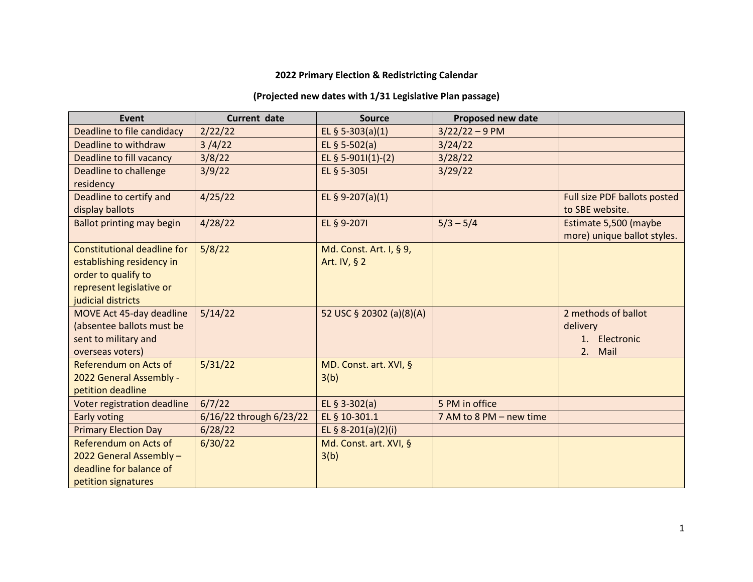## **2022 Primary Election & Redistricting Calendar**

## **(Projected new dates with 1/31 Legislative Plan passage)**

| Event                                                                                                                                    | <b>Current date</b>     | <b>Source</b>                           | Proposed new date       |                                                                |
|------------------------------------------------------------------------------------------------------------------------------------------|-------------------------|-----------------------------------------|-------------------------|----------------------------------------------------------------|
| Deadline to file candidacy                                                                                                               | 2/22/22                 | EL § 5-303(a)(1)                        | $3/22/22 - 9$ PM        |                                                                |
| Deadline to withdraw                                                                                                                     | 3/4/22                  | EL § 5-502(a)                           | 3/24/22                 |                                                                |
| Deadline to fill vacancy                                                                                                                 | 3/8/22                  | EL § 5-9011(1)-(2)                      | 3/28/22                 |                                                                |
| Deadline to challenge<br>residency                                                                                                       | 3/9/22                  | EL § 5-3051                             | 3/29/22                 |                                                                |
| Deadline to certify and<br>display ballots                                                                                               | 4/25/22                 | EL § 9-207(a)(1)                        |                         | Full size PDF ballots posted<br>to SBE website.                |
| Ballot printing may begin                                                                                                                | 4/28/22                 | EL § 9-2071                             | $5/3 - 5/4$             | Estimate 5,500 (maybe<br>more) unique ballot styles.           |
| <b>Constitutional deadline for</b><br>establishing residency in<br>order to qualify to<br>represent legislative or<br>judicial districts | 5/8/22                  | Md. Const. Art. I, § 9,<br>Art. IV, § 2 |                         |                                                                |
| MOVE Act 45-day deadline<br>(absentee ballots must be<br>sent to military and<br>overseas voters)                                        | 5/14/22                 | 52 USC § 20302 (a)(8)(A)                |                         | 2 methods of ballot<br>delivery<br>1. Electronic<br>2.<br>Mail |
| Referendum on Acts of<br>2022 General Assembly -<br>petition deadline                                                                    | 5/31/22                 | MD. Const. art. XVI, §<br>3(b)          |                         |                                                                |
| Voter registration deadline                                                                                                              | 6/7/22                  | EL § 3-302(a)                           | 5 PM in office          |                                                                |
| Early voting                                                                                                                             | 6/16/22 through 6/23/22 | EL § 10-301.1                           | 7 AM to 8 PM - new time |                                                                |
| <b>Primary Election Day</b>                                                                                                              | 6/28/22                 | EL § 8-201(a)(2)(i)                     |                         |                                                                |
| Referendum on Acts of<br>2022 General Assembly -<br>deadline for balance of<br>petition signatures                                       | 6/30/22                 | Md. Const. art. XVI, §<br>3(b)          |                         |                                                                |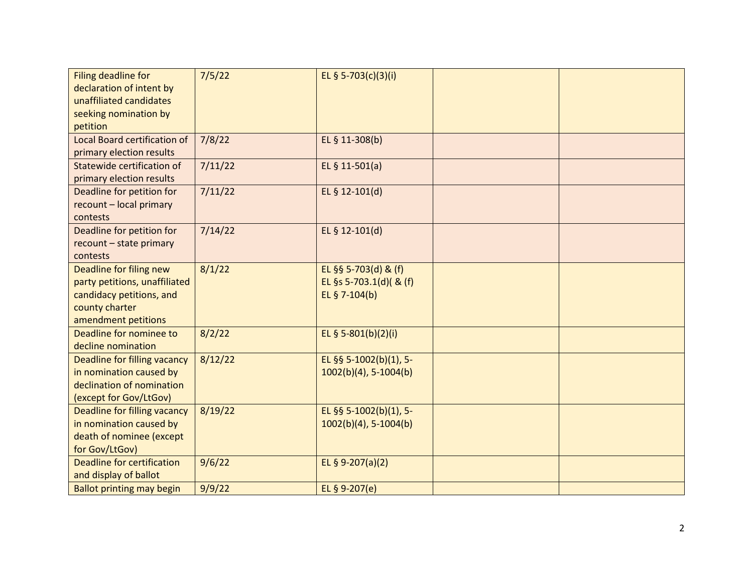| Filing deadline for<br>declaration of intent by<br>unaffiliated candidates<br>seeking nomination by<br>petition               | 7/5/22  | EL § 5-703(c)(3)(i)                                              |  |
|-------------------------------------------------------------------------------------------------------------------------------|---------|------------------------------------------------------------------|--|
| <b>Local Board certification of</b><br>primary election results                                                               | 7/8/22  | EL § 11-308(b)                                                   |  |
| Statewide certification of<br>primary election results                                                                        | 7/11/22 | EL $§$ 11-501(a)                                                 |  |
| Deadline for petition for<br>recount - local primary<br>contests                                                              | 7/11/22 | EL § 12-101(d)                                                   |  |
| Deadline for petition for<br>recount - state primary<br>contests                                                              | 7/14/22 | EL § 12-101(d)                                                   |  |
| Deadline for filing new<br>party petitions, unaffiliated<br>candidacy petitions, and<br>county charter<br>amendment petitions | 8/1/22  | EL §§ 5-703(d) & (f)<br>EL §s 5-703.1(d)( & (f)<br>EL § 7-104(b) |  |
| Deadline for nominee to<br>decline nomination                                                                                 | 8/2/22  | EL § 5-801(b)(2)(i)                                              |  |
| Deadline for filling vacancy<br>in nomination caused by<br>declination of nomination<br>(except for Gov/LtGov)                | 8/12/22 | EL §§ 5-1002(b)(1), 5-<br>$1002(b)(4)$ , 5-1004(b)               |  |
| <b>Deadline for filling vacancy</b><br>in nomination caused by<br>death of nominee (except<br>for Gov/LtGov)                  | 8/19/22 | EL §§ 5-1002(b)(1), 5-<br>$1002(b)(4)$ , 5-1004(b)               |  |
| Deadline for certification<br>and display of ballot                                                                           | 9/6/22  | EL § 9-207(a)(2)                                                 |  |
| <b>Ballot printing may begin</b>                                                                                              | 9/9/22  | EL § 9-207(e)                                                    |  |